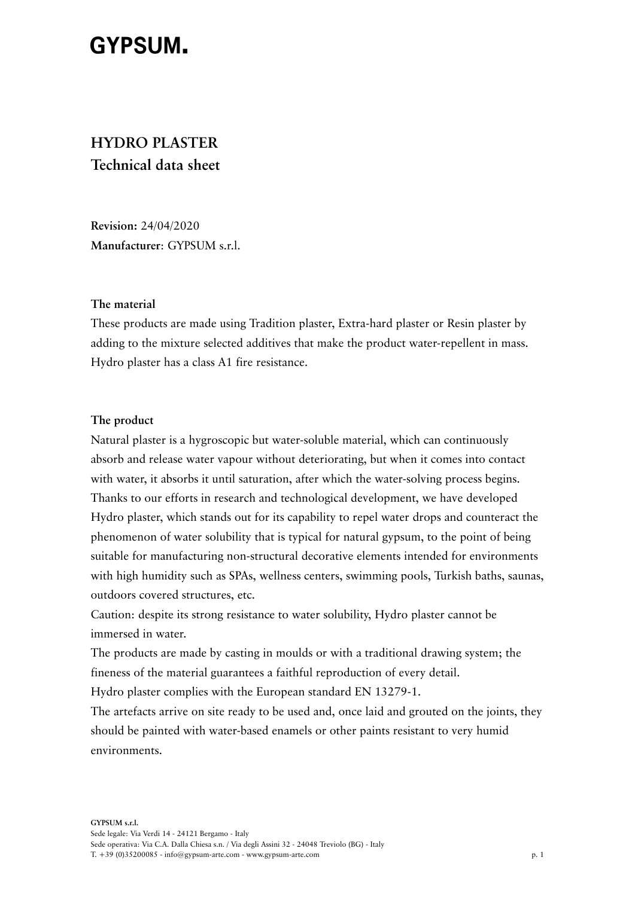# **GYPSUM.**

# **HYDRO PLASTER Technical data sheet**

**Revision:** 24/04/2020 **Manufacturer**: GYPSUM s.r.l.

#### **The material**

These products are made using Tradition plaster, Extra-hard plaster or Resin plaster by adding to the mixture selected additives that make the product water-repellent in mass. Hydro plaster has a class A1 fire resistance.

## **The product**

Natural plaster is a hygroscopic but water-soluble material, which can continuously absorb and release water vapour without deteriorating, but when it comes into contact with water, it absorbs it until saturation, after which the water-solving process begins. Thanks to our efforts in research and technological development, we have developed Hydro plaster, which stands out for its capability to repel water drops and counteract the phenomenon of water solubility that is typical for natural gypsum, to the point of being suitable for manufacturing non-structural decorative elements intended for environments with high humidity such as SPAs, wellness centers, swimming pools, Turkish baths, saunas, outdoors covered structures, etc.

Caution: despite its strong resistance to water solubility, Hydro plaster cannot be immersed in water.

The products are made by casting in moulds or with a traditional drawing system; the fineness of the material guarantees a faithful reproduction of every detail.

Hydro plaster complies with the European standard EN 13279-1.

The artefacts arrive on site ready to be used and, once laid and grouted on the joints, they should be painted with water-based enamels or other paints resistant to very humid environments.